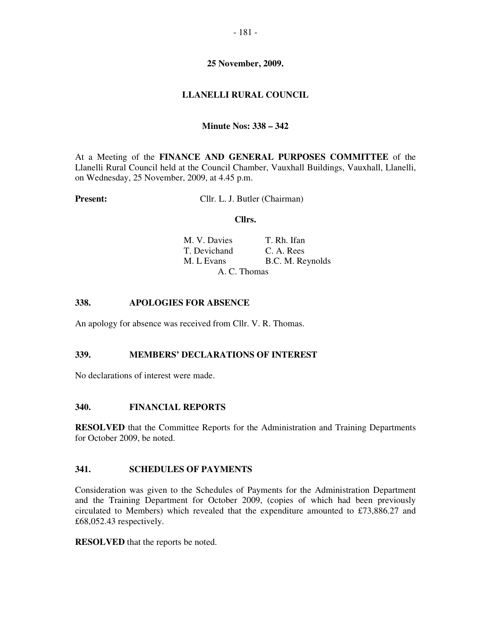# **25 November, 2009.**

# **LLANELLI RURAL COUNCIL**

# **Minute Nos: 338 – 342**

At a Meeting of the **FINANCE AND GENERAL PURPOSES COMMITTEE** of the Llanelli Rural Council held at the Council Chamber, Vauxhall Buildings, Vauxhall, Llanelli, on Wednesday, 25 November, 2009, at 4.45 p.m.

**Present:** Cllr. L. J. Butler (Chairman)

#### **Cllrs.**

| M. V. Davies | T. Rh. Ifan      |
|--------------|------------------|
| T. Devichand | C. A. Res        |
| M. L Evans   | B.C. M. Reynolds |
| A. C. Thomas |                  |

## **338. APOLOGIES FOR ABSENCE**

An apology for absence was received from Cllr. V. R. Thomas.

### **339. MEMBERS' DECLARATIONS OF INTEREST**

No declarations of interest were made.

### **340. FINANCIAL REPORTS**

**RESOLVED** that the Committee Reports for the Administration and Training Departments for October 2009, be noted.

### **341. SCHEDULES OF PAYMENTS**

Consideration was given to the Schedules of Payments for the Administration Department and the Training Department for October 2009, (copies of which had been previously circulated to Members) which revealed that the expenditure amounted to £73,886.27 and £68,052.43 respectively.

**RESOLVED** that the reports be noted.